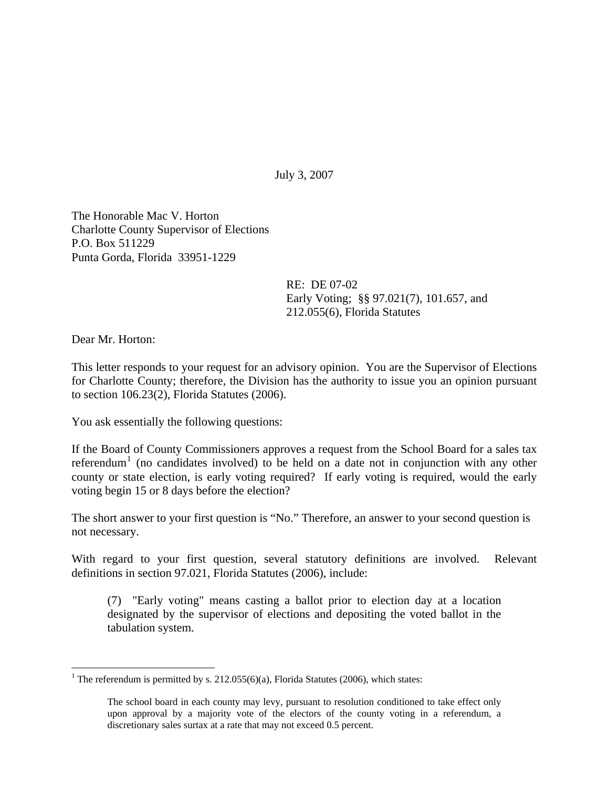July 3, 2007

The Honorable Mac V. Horton Charlotte County Supervisor of Elections P.O. Box 511229 Punta Gorda, Florida 33951-1229

> RE: DE 07-02 Early Voting; §§ 97.021(7), 101.657, and 212.055(6), Florida Statutes

Dear Mr. Horton:

 $\overline{a}$ 

This letter responds to your request for an advisory opinion. You are the Supervisor of Elections for Charlotte County; therefore, the Division has the authority to issue you an opinion pursuant to section 106.23(2), Florida Statutes (2006).

You ask essentially the following questions:

If the Board of County Commissioners approves a request from the School Board for a sales tax referendum<sup>[1](#page-0-0)</sup> (no candidates involved) to be held on a date not in conjunction with any other county or state election, is early voting required? If early voting is required, would the early voting begin 15 or 8 days before the election?

The short answer to your first question is "No." Therefore, an answer to your second question is not necessary.

With regard to your first question, several statutory definitions are involved. Relevant definitions in section 97.021, Florida Statutes (2006), include:

(7) "Early voting" means casting a ballot prior to election day at a location designated by the supervisor of elections and depositing the voted ballot in the tabulation system.

<span id="page-0-0"></span><sup>&</sup>lt;sup>1</sup> The referendum is permitted by s. 212.055(6)(a), Florida Statutes (2006), which states:

The school board in each county may levy, pursuant to resolution conditioned to take effect only upon approval by a majority vote of the electors of the county voting in a referendum, a discretionary sales surtax at a rate that may not exceed 0.5 percent.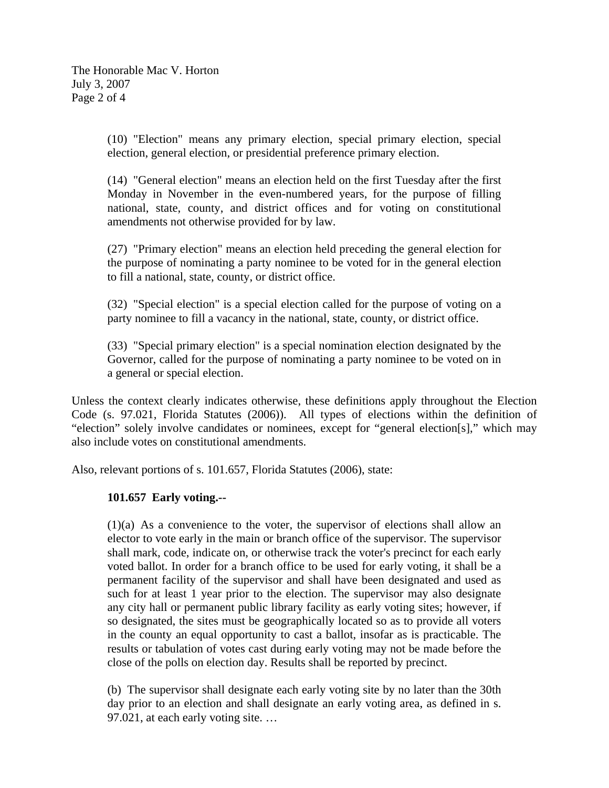(10) "Election" means any primary election, special primary election, special election, general election, or presidential preference primary election.

(14) "General election" means an election held on the first Tuesday after the first Monday in November in the even-numbered years, for the purpose of filling national, state, county, and district offices and for voting on constitutional amendments not otherwise provided for by law.

(27) "Primary election" means an election held preceding the general election for the purpose of nominating a party nominee to be voted for in the general election to fill a national, state, county, or district office.

(32) "Special election" is a special election called for the purpose of voting on a party nominee to fill a vacancy in the national, state, county, or district office.

(33) "Special primary election" is a special nomination election designated by the Governor, called for the purpose of nominating a party nominee to be voted on in a general or special election.

Unless the context clearly indicates otherwise, these definitions apply throughout the Election Code (s. 97.021, Florida Statutes (2006)). All types of elections within the definition of "election" solely involve candidates or nominees, except for "general election[s]," which may also include votes on constitutional amendments.

Also, relevant portions of s. 101.657, Florida Statutes (2006), state:

## **101.657 Early voting.--**

(1)(a) As a convenience to the voter, the supervisor of elections shall allow an elector to vote early in the main or branch office of the supervisor. The supervisor shall mark, code, indicate on, or otherwise track the voter's precinct for each early voted ballot. In order for a branch office to be used for early voting, it shall be a permanent facility of the supervisor and shall have been designated and used as such for at least 1 year prior to the election. The supervisor may also designate any city hall or permanent public library facility as early voting sites; however, if so designated, the sites must be geographically located so as to provide all voters in the county an equal opportunity to cast a ballot, insofar as is practicable. The results or tabulation of votes cast during early voting may not be made before the close of the polls on election day. Results shall be reported by precinct.

(b) The supervisor shall designate each early voting site by no later than the 30th day prior to an election and shall designate an early voting area, as defined in s. 97.021, at each early voting site. …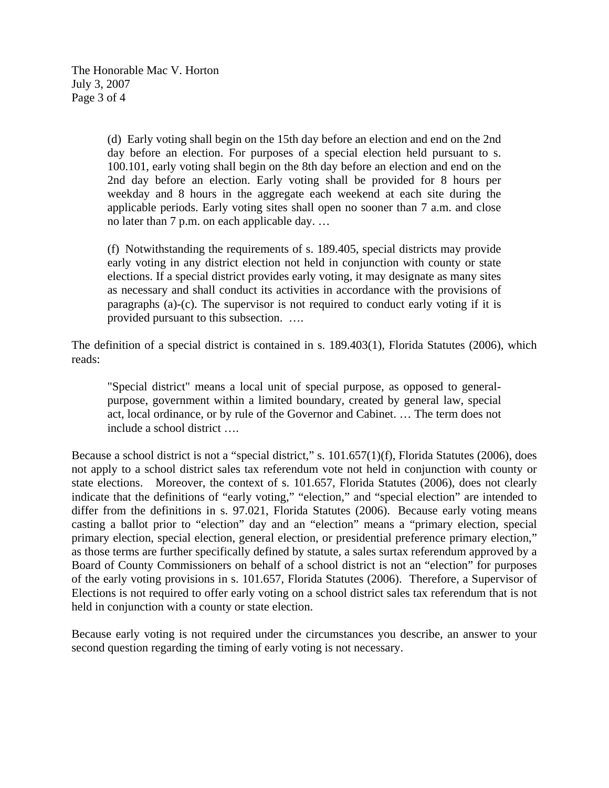The Honorable Mac V. Horton July 3, 2007 Page 3 of 4

> (d) Early voting shall begin on the 15th day before an election and end on the 2nd day before an election. For purposes of a special election held pursuant to s. 100.101, early voting shall begin on the 8th day before an election and end on the 2nd day before an election. Early voting shall be provided for 8 hours per weekday and 8 hours in the aggregate each weekend at each site during the applicable periods. Early voting sites shall open no sooner than 7 a.m. and close no later than 7 p.m. on each applicable day. …

> (f) Notwithstanding the requirements of s. 189.405, special districts may provide early voting in any district election not held in conjunction with county or state elections. If a special district provides early voting, it may designate as many sites as necessary and shall conduct its activities in accordance with the provisions of paragraphs (a)-(c). The supervisor is not required to conduct early voting if it is provided pursuant to this subsection. ….

The definition of a special district is contained in s. 189.403(1), Florida Statutes (2006), which reads:

"Special district" means a local unit of special purpose, as opposed to generalpurpose, government within a limited boundary, created by general law, special act, local ordinance, or by rule of the Governor and Cabinet. … The term does not include a school district ….

Because a school district is not a "special district," s. 101.657(1)(f), Florida Statutes (2006), does not apply to a school district sales tax referendum vote not held in conjunction with county or state elections. Moreover, the context of s. 101.657, Florida Statutes (2006), does not clearly indicate that the definitions of "early voting," "election," and "special election" are intended to differ from the definitions in s. 97.021, Florida Statutes (2006). Because early voting means casting a ballot prior to "election" day and an "election" means a "primary election, special primary election, special election, general election, or presidential preference primary election," as those terms are further specifically defined by statute, a sales surtax referendum approved by a Board of County Commissioners on behalf of a school district is not an "election" for purposes of the early voting provisions in s. 101.657, Florida Statutes (2006). Therefore, a Supervisor of Elections is not required to offer early voting on a school district sales tax referendum that is not held in conjunction with a county or state election.

Because early voting is not required under the circumstances you describe, an answer to your second question regarding the timing of early voting is not necessary.